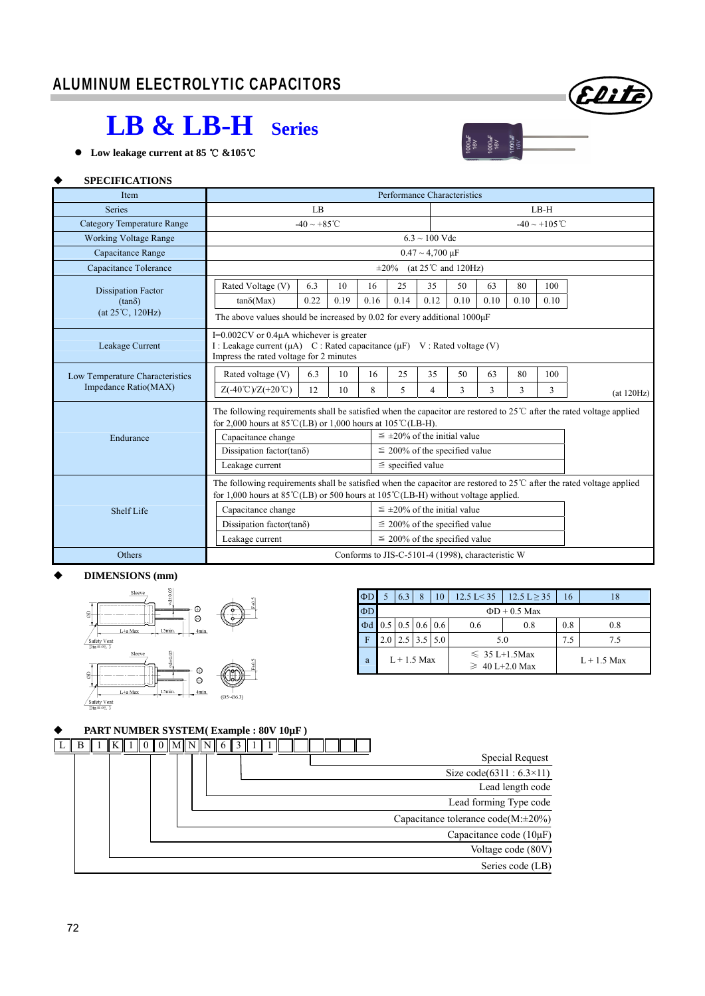# **LB & LB-H Series**

**Low leakage current at 85 &105** ℃ ℃

# $\begin{array}{c} 1000 \text{mF} \\ 16 \text{V} \\ 1000 \text{mF} \\ 16 \text{V} \\ 1000 \text{mF} \\ 1000 \text{mF} \\ 16 \text{V} \end{array}$

Eliti

## **SPECIFICATIONS**

| Item                                                    | Performance Characteristics                                                                                                                                                                                                                                                                                                                                                                           |                    |          |         |                    |                                                                                                                  |         |         |         |          |            |  |  |  |
|---------------------------------------------------------|-------------------------------------------------------------------------------------------------------------------------------------------------------------------------------------------------------------------------------------------------------------------------------------------------------------------------------------------------------------------------------------------------------|--------------------|----------|---------|--------------------|------------------------------------------------------------------------------------------------------------------|---------|---------|---------|----------|------------|--|--|--|
| <b>Series</b>                                           |                                                                                                                                                                                                                                                                                                                                                                                                       | LB                 |          |         |                    |                                                                                                                  | $LB-H$  |         |         |          |            |  |  |  |
| <b>Category Temperature Range</b>                       | $-40 \sim +85^{\circ}$ C                                                                                                                                                                                                                                                                                                                                                                              |                    |          |         | $-40 \sim +105$ °C |                                                                                                                  |         |         |         |          |            |  |  |  |
| <b>Working Voltage Range</b>                            |                                                                                                                                                                                                                                                                                                                                                                                                       | $6.3 \sim 100$ Vdc |          |         |                    |                                                                                                                  |         |         |         |          |            |  |  |  |
| Capacitance Range                                       | $0.47 \sim 4,700 \text{ }\mu\text{F}$                                                                                                                                                                                                                                                                                                                                                                 |                    |          |         |                    |                                                                                                                  |         |         |         |          |            |  |  |  |
| Capacitance Tolerance                                   | $\pm 20\%$ (at 25°C and 120Hz)                                                                                                                                                                                                                                                                                                                                                                        |                    |          |         |                    |                                                                                                                  |         |         |         |          |            |  |  |  |
| <b>Dissipation Factor</b>                               | Rated Voltage (V)<br>25<br>80<br>6.3<br>10<br>16<br>35<br>50<br>63<br>100                                                                                                                                                                                                                                                                                                                             |                    |          |         |                    |                                                                                                                  |         |         |         |          |            |  |  |  |
| $(tan\delta)$                                           | $tan\delta(Max)$                                                                                                                                                                                                                                                                                                                                                                                      | 0.22               | 0.19     | 0.16    | 0.14               | 0.12                                                                                                             | 0.10    | 0.10    | 0.10    | 0.10     |            |  |  |  |
| (at 25°C, 120Hz)                                        | The above values should be increased by 0.02 for every additional $1000\mu$ F                                                                                                                                                                                                                                                                                                                         |                    |          |         |                    |                                                                                                                  |         |         |         |          |            |  |  |  |
| Leakage Current                                         | $I=0.002CV$ or 0.4 $\mu$ A whichever is greater<br>I : Leakage current ( $\mu$ A) C : Rated capacitance ( $\mu$ F) V : Rated voltage (V)<br>Impress the rated voltage for 2 minutes                                                                                                                                                                                                                   |                    |          |         |                    |                                                                                                                  |         |         |         |          |            |  |  |  |
| Low Temperature Characteristics<br>Impedance Ratio(MAX) | Rated voltage (V)<br>$Z(-40^{\circ}\text{C})/Z(+20^{\circ}\text{C})$                                                                                                                                                                                                                                                                                                                                  | 6.3<br>12          | 10<br>10 | 16<br>8 | 25<br>5            | 35<br>4                                                                                                          | 50<br>3 | 63<br>3 | 80<br>3 | 100<br>3 | (at 120Hz) |  |  |  |
| Endurance                                               | The following requirements shall be satisfied when the capacitor are restored to $25^{\circ}$ after the rated voltage applied<br>for 2,000 hours at $85^{\circ}$ C(LB) or 1,000 hours at 105 $^{\circ}$ C(LB-H).<br>$\leq \pm 20\%$ of the initial value<br>Capacitance change<br>Dissipation factor(tan $\delta$ )<br>$\leq$ 200% of the specified value<br>$\le$ specified value<br>Leakage current |                    |          |         |                    |                                                                                                                  |         |         |         |          |            |  |  |  |
| Shelf Life                                              | The following requirements shall be satisfied when the capacitor are restored to $25^{\circ}$ after the rated voltage applied<br>for 1,000 hours at 85 °C(LB) or 500 hours at 105 °C(LB-H) without voltage applied.<br>Capacitance change<br>Dissipation factor(tan $\delta$ )<br>Leakage current                                                                                                     |                    |          |         |                    | $\leq \pm 20\%$ of the initial value<br>$\leq$ 200% of the specified value<br>$\leq$ 200% of the specified value |         |         |         |          |            |  |  |  |
| Others                                                  | Conforms to JIS-C-5101-4 (1998), characteristic W                                                                                                                                                                                                                                                                                                                                                     |                    |          |         |                    |                                                                                                                  |         |         |         |          |            |  |  |  |

#### **DIMENSIONS (mm)**



| $\Phi$ D |                    | 6.3                                       | 8   | 10  | $12.5$ L $<$ 35 | $12.5 L \ge 35$                           | 16            | 18  |  |  |  |  |  |  |  |
|----------|--------------------|-------------------------------------------|-----|-----|-----------------|-------------------------------------------|---------------|-----|--|--|--|--|--|--|--|
| $\Phi$ D | $\Phi$ D + 0.5 Max |                                           |     |     |                 |                                           |               |     |  |  |  |  |  |  |  |
| $\Phi$ d |                    | $0.5 \,   \, 0.5 \,   \, 0.6 \,   \, 0.6$ |     |     | 0.6             | 0.8                                       | 0.8           | 0.8 |  |  |  |  |  |  |  |
| F        |                    | 2.5                                       | 3.5 | 5.0 |                 | 5.0                                       | 7.5           | 7.5 |  |  |  |  |  |  |  |
| a        |                    | $L + 1.5$ Max                             |     |     |                 | $\leq 35$ L+1.5Max<br>$\geq 40$ L+2.0 Max | $L + 1.5$ Max |     |  |  |  |  |  |  |  |

#### **PART NUMBER SYSTEM( Example : 80V 10µF )**

| B |  |  | $\ K\ 1\ 0\ 0\ M\ N\ N\ 6\ 3\ 1$ |  |  |  |  |  |  |  |  |                                          |
|---|--|--|----------------------------------|--|--|--|--|--|--|--|--|------------------------------------------|
|   |  |  |                                  |  |  |  |  |  |  |  |  | Special Request                          |
|   |  |  |                                  |  |  |  |  |  |  |  |  | Size code(6311 : $6.3 \times 11$ )       |
|   |  |  |                                  |  |  |  |  |  |  |  |  | Lead length code                         |
|   |  |  |                                  |  |  |  |  |  |  |  |  | Lead forming Type code                   |
|   |  |  |                                  |  |  |  |  |  |  |  |  | Capacitance tolerance $code(M:\pm 20\%)$ |
|   |  |  |                                  |  |  |  |  |  |  |  |  | Capacitance code $(10\mu F)$             |
|   |  |  |                                  |  |  |  |  |  |  |  |  | Voltage code (80V)                       |
|   |  |  |                                  |  |  |  |  |  |  |  |  | Series code (LB)                         |